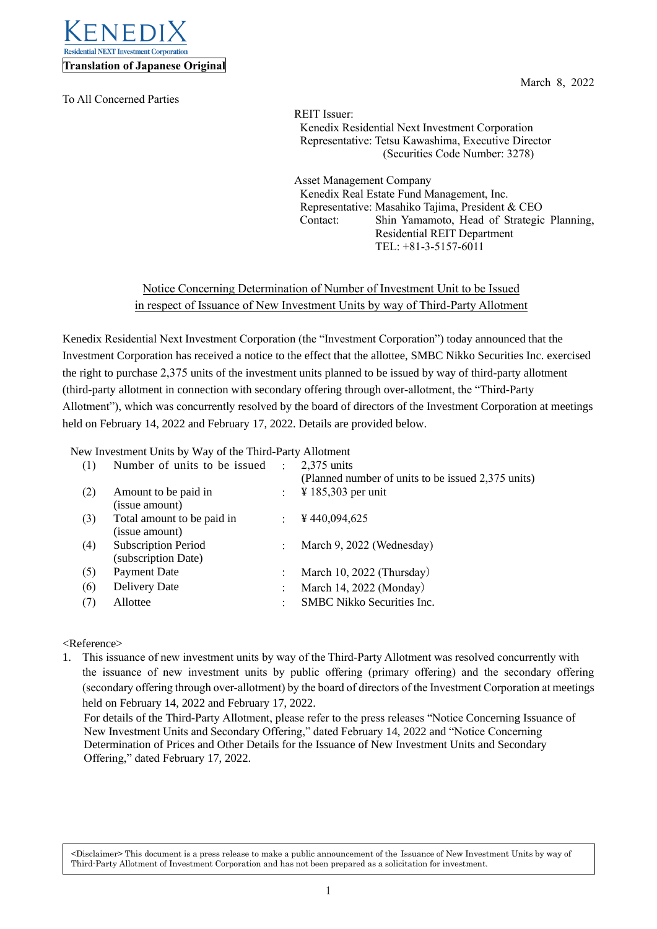

To All Concerned Parties

March 8, 2022

REIT Issuer: Kenedix Residential Next Investment Corporation Representative: Tetsu Kawashima, Executive Director (Securities Code Number: 3278)

Asset Management Company Kenedix Real Estate Fund Management, Inc. Representative: Masahiko Tajima, President & CEO Contact: Shin Yamamoto, Head of Strategic Planning, Residential REIT Department TEL: +81-3-5157-6011

## Notice Concerning Determination of Number of Investment Unit to be Issued in respect of Issuance of New Investment Units by way of Third-Party Allotment

Kenedix Residential Next Investment Corporation (the "Investment Corporation") today announced that the Investment Corporation has received a notice to the effect that the allottee, SMBC Nikko Securities Inc. exercised the right to purchase 2,375 units of the investment units planned to be issued by way of third-party allotment (third-party allotment in connection with secondary offering through over-allotment, the "Third-Party Allotment"), which was concurrently resolved by the board of directors of the Investment Corporation at meetings held on February 14, 2022 and February 17, 2022. Details are provided below.

New Investment Units by Way of the Third-Party Allotment

| (1) | Number of units to be issued                      | $\ddot{\cdot}$ | $2,375$ units<br>(Planned number of units to be issued 2,375 units) |
|-----|---------------------------------------------------|----------------|---------------------------------------------------------------------|
| (2) | Amount to be paid in<br>(issue amount)            | $\mathcal{L}$  | $\frac{1}{2}$ 185,303 per unit                                      |
| (3) | Total amount to be paid in<br>(issue amount)      |                | ¥440,094,625                                                        |
| (4) | <b>Subscription Period</b><br>(subscription Date) | $\cdot$        | March 9, 2022 (Wednesday)                                           |
| (5) | Payment Date                                      |                | March 10, 2022 (Thursday)                                           |
| (6) | Delivery Date                                     |                | March 14, 2022 (Monday)                                             |
| (7) | Allottee                                          |                | <b>SMBC</b> Nikko Securities Inc.                                   |
|     |                                                   |                |                                                                     |

## <Reference>

1. This issuance of new investment units by way of the Third-Party Allotment was resolved concurrently with the issuance of new investment units by public offering (primary offering) and the secondary offering (secondary offering through over-allotment) by the board of directors of the Investment Corporation at meetings held on February 14, 2022 and February 17, 2022.

For details of the Third-Party Allotment, please refer to the press releases "Notice Concerning Issuance of New Investment Units and Secondary Offering," dated February 14, 2022 and "Notice Concerning Determination of Prices and Other Details for the Issuance of New Investment Units and Secondary Offering," dated February 17, 2022.

<Disclaimer> This document is a press release to make a public announcement of the Issuance of New Investment Units by way of Third-Party Allotment of Investment Corporation and has not been prepared as a solicitation for investment.